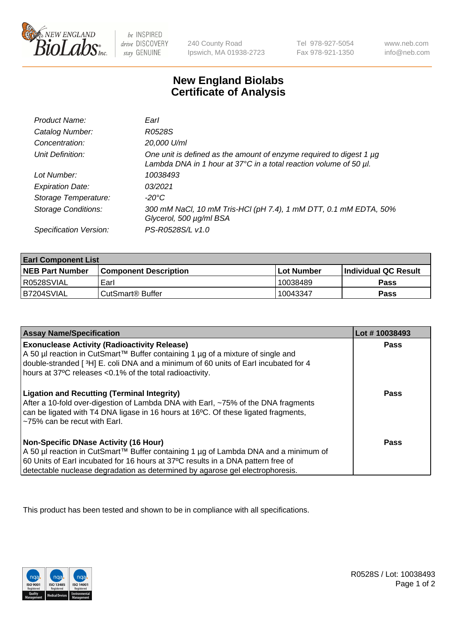

 $be$  INSPIRED drive DISCOVERY stay GENUINE

240 County Road Ipswich, MA 01938-2723 Tel 978-927-5054 Fax 978-921-1350 www.neb.com info@neb.com

## **New England Biolabs Certificate of Analysis**

| Product Name:              | Earl                                                                                                                                                         |
|----------------------------|--------------------------------------------------------------------------------------------------------------------------------------------------------------|
| Catalog Number:            | R0528S                                                                                                                                                       |
| Concentration:             | 20,000 U/ml                                                                                                                                                  |
| Unit Definition:           | One unit is defined as the amount of enzyme required to digest 1 $\mu$ g<br>Lambda DNA in 1 hour at $37^{\circ}$ C in a total reaction volume of 50 $\mu$ l. |
| Lot Number:                | 10038493                                                                                                                                                     |
| <b>Expiration Date:</b>    | 0.3/2021                                                                                                                                                     |
| Storage Temperature:       | $-20^{\circ}$ C                                                                                                                                              |
| <b>Storage Conditions:</b> | 300 mM NaCl, 10 mM Tris-HCl (pH 7.4), 1 mM DTT, 0.1 mM EDTA, 50%<br>Glycerol, 500 µg/ml BSA                                                                  |
| Specification Version:     | PS-R0528S/L v1.0                                                                                                                                             |

| <b>Earl Component List</b> |                              |                   |                             |  |
|----------------------------|------------------------------|-------------------|-----------------------------|--|
| <b>NEB Part Number</b>     | <b>Component Description</b> | <b>Lot Number</b> | <b>Individual QC Result</b> |  |
| I R0528SVIAL               | Earl                         | 10038489          | <b>Pass</b>                 |  |
| IB7204SVIAL                | ⊧CutSmart® Buffer            | 10043347          | <b>Pass</b>                 |  |

| <b>Assay Name/Specification</b>                                                                                                                                                                                                                                                                            | Lot #10038493 |
|------------------------------------------------------------------------------------------------------------------------------------------------------------------------------------------------------------------------------------------------------------------------------------------------------------|---------------|
| <b>Exonuclease Activity (Radioactivity Release)</b><br>A 50 µl reaction in CutSmart™ Buffer containing 1 µg of a mixture of single and<br>double-stranded [3H] E. coli DNA and a minimum of 60 units of Earl incubated for 4<br>hours at 37°C releases <0.1% of the total radioactivity.                   | Pass          |
| <b>Ligation and Recutting (Terminal Integrity)</b><br>After a 10-fold over-digestion of Lambda DNA with Earl, ~75% of the DNA fragments<br>can be ligated with T4 DNA ligase in 16 hours at 16 <sup>o</sup> C. Of these ligated fragments,<br>~75% can be recut with Earl.                                 | Pass          |
| <b>Non-Specific DNase Activity (16 Hour)</b><br>  A 50 µl reaction in CutSmart™ Buffer containing 1 µg of Lambda DNA and a minimum of<br>60 Units of Earl incubated for 16 hours at 37°C results in a DNA pattern free of<br>detectable nuclease degradation as determined by agarose gel electrophoresis. | Pass          |

This product has been tested and shown to be in compliance with all specifications.